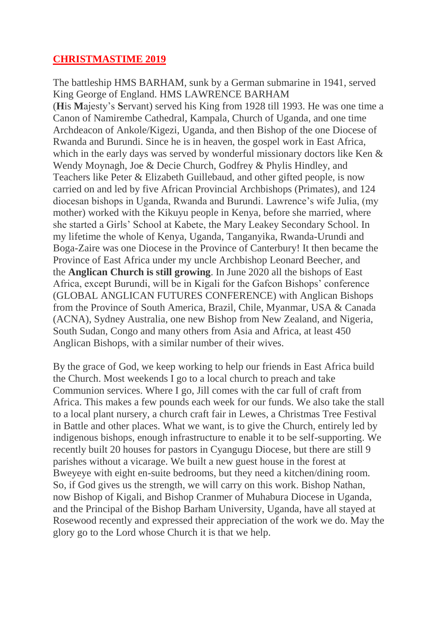## **CHRISTMASTIME 2019**

The battleship HMS BARHAM, sunk by a German submarine in 1941, served King George of England. HMS LAWRENCE BARHAM (**H**is **M**ajesty's **S**ervant) served his King from 1928 till 1993. He was one time a Canon of Namirembe Cathedral, Kampala, Church of Uganda, and one time Archdeacon of Ankole/Kigezi, Uganda, and then Bishop of the one Diocese of Rwanda and Burundi. Since he is in heaven, the gospel work in East Africa, which in the early days was served by wonderful missionary doctors like Ken & Wendy Moynagh, Joe & Decie Church, Godfrey & Phylis Hindley, and Teachers like Peter & Elizabeth Guillebaud, and other gifted people, is now carried on and led by five African Provincial Archbishops (Primates), and 124 diocesan bishops in Uganda, Rwanda and Burundi. Lawrence's wife Julia, (my mother) worked with the Kikuyu people in Kenya, before she married, where she started a Girls' School at Kabete, the Mary Leakey Secondary School. In my lifetime the whole of Kenya, Uganda, Tanganyika, Rwanda-Urundi and Boga-Zaire was one Diocese in the Province of Canterbury! It then became the Province of East Africa under my uncle Archbishop Leonard Beecher, and the **Anglican Church is still growing**. In June 2020 all the bishops of East Africa, except Burundi, will be in Kigali for the Gafcon Bishops' conference (GLOBAL ANGLICAN FUTURES CONFERENCE) with Anglican Bishops from the Province of South America, Brazil, Chile, Myanmar, USA & Canada (ACNA), Sydney Australia, one new Bishop from New Zealand, and Nigeria, South Sudan, Congo and many others from Asia and Africa, at least 450 Anglican Bishops, with a similar number of their wives.

By the grace of God, we keep working to help our friends in East Africa build the Church. Most weekends I go to a local church to preach and take Communion services. Where I go, Jill comes with the car full of craft from Africa. This makes a few pounds each week for our funds. We also take the stall to a local plant nursery, a church craft fair in Lewes, a Christmas Tree Festival in Battle and other places. What we want, is to give the Church, entirely led by indigenous bishops, enough infrastructure to enable it to be self-supporting. We recently built 20 houses for pastors in Cyangugu Diocese, but there are still 9 parishes without a vicarage. We built a new guest house in the forest at Bweyeye with eight en-suite bedrooms, but they need a kitchen/dining room. So, if God gives us the strength, we will carry on this work. Bishop Nathan, now Bishop of Kigali, and Bishop Cranmer of Muhabura Diocese in Uganda, and the Principal of the Bishop Barham University, Uganda, have all stayed at Rosewood recently and expressed their appreciation of the work we do. May the glory go to the Lord whose Church it is that we help.